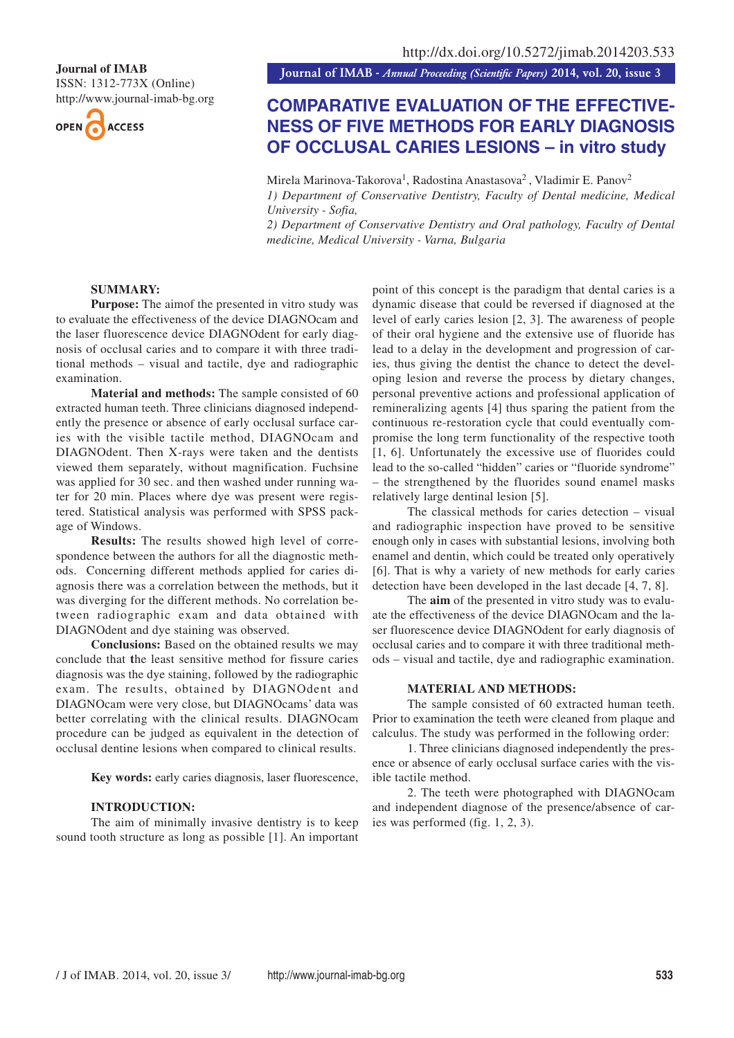ISSN: 1312-773X (Online)

http://www.journal-imab-bg.org



**Journal of IMAB**<br>**Journal of IMAB** - Annual Proceeding (Scientific Papers) 2014, vol. 20, issue 3

# **COMPARATIVE EVALUATION OF THE EFFECTIVE-NESS OF FIVE METHODS FOR EARLY DIAGNOSIS OF OCCLUSAL CARIES LESIONS – in vitro study**

Mirela Marinova-Takorova<sup>1</sup>, Radostina Anastasova<sup>2</sup>, Vladimir E. Panov<sup>2</sup>

*1) Department of Conservative Dentistry, Faculty of Dental medicine, Medical University - Sofia,*

*2) Department of Conservative Dentistry and Oral pathology, Faculty of Dental medicine, Medical University - Varna, Bulgaria*

# **SUMMARY:**

**Purpose:** The aimof the presented in vitro study was to evaluate the effectiveness of the device DIAGNOcam and the laser fluorescence device DIAGNOdent for early diagnosis of occlusal caries and to compare it with three traditional methods – visual and tactile, dye and radiographic examination.

**Material and methods:** The sample consisted of 60 extracted human teeth. Three clinicians diagnosed independently the presence or absence of early occlusal surface caries with the visible tactile method, DIAGNOcam and DIAGNOdent. Then X-rays were taken and the dentists viewed them separately, without magnification. Fuchsine was applied for 30 sec. and then washed under running water for 20 min. Places where dye was present were registered. Statistical analysis was performed with SPSS package of Windows.

**Results:** The results showed high level of correspondence between the authors for all the diagnostic methods. Concerning different methods applied for caries diagnosis there was a correlation between the methods, but it was diverging for the different methods. No correlation between radiographic exam and data obtained with DIAGNOdent and dye staining was observed.

**Conclusions:** Based on the obtained results we may conclude that **t**he least sensitive method for fissure caries diagnosis was the dye staining, followed by the radiographic exam. The results, obtained by DIAGNOdent and DIAGNOcam were very close, but DIAGNOcams' data was better correlating with the clinical results. DIAGNOcam procedure can be judged as equivalent in the detection of occlusal dentine lesions when compared to clinical results.

**Key words:** early caries diagnosis, laser fluorescence,

#### **INTRODUCTION:**

The aim of minimally invasive dentistry is to keep sound tooth structure as long as possible [1]. An important point of this concept is the paradigm that dental caries is a dynamic disease that could be reversed if diagnosed at the level of early caries lesion [2, 3]. The awareness of people of their oral hygiene and the extensive use of fluoride has lead to a delay in the development and progression of caries, thus giving the dentist the chance to detect the developing lesion and reverse the process by dietary changes, personal preventive actions and professional application of remineralizing agents [4] thus sparing the patient from the continuous re-restoration cycle that could eventually compromise the long term functionality of the respective tooth [1, 6]. Unfortunately the excessive use of fluorides could lead to the so-called "hidden" caries or "fluoride syndrome" – the strengthened by the fluorides sound enamel masks relatively large dentinal lesion [5].

The classical methods for caries detection – visual and radiographic inspection have proved to be sensitive enough only in cases with substantial lesions, involving both enamel and dentin, which could be treated only operatively [6]. That is why a variety of new methods for early caries detection have been developed in the last decade [4, 7, 8].

The **aim** of the presented in vitro study was to evaluate the effectiveness of the device DIAGNOcam and the laser fluorescence device DIAGNOdent for early diagnosis of occlusal caries and to compare it with three traditional methods – visual and tactile, dye and radiographic examination.

#### **MATERIAL AND METHODS:**

The sample consisted of 60 extracted human teeth. Prior to examination the teeth were cleaned from plaque and calculus. The study was performed in the following order:

1. Three clinicians diagnosed independently the presence or absence of early occlusal surface caries with the visible tactile method.

2. The teeth were photographed with DIAGNOcam and independent diagnose of the presence/absence of caries was performed (fig. 1, 2, 3).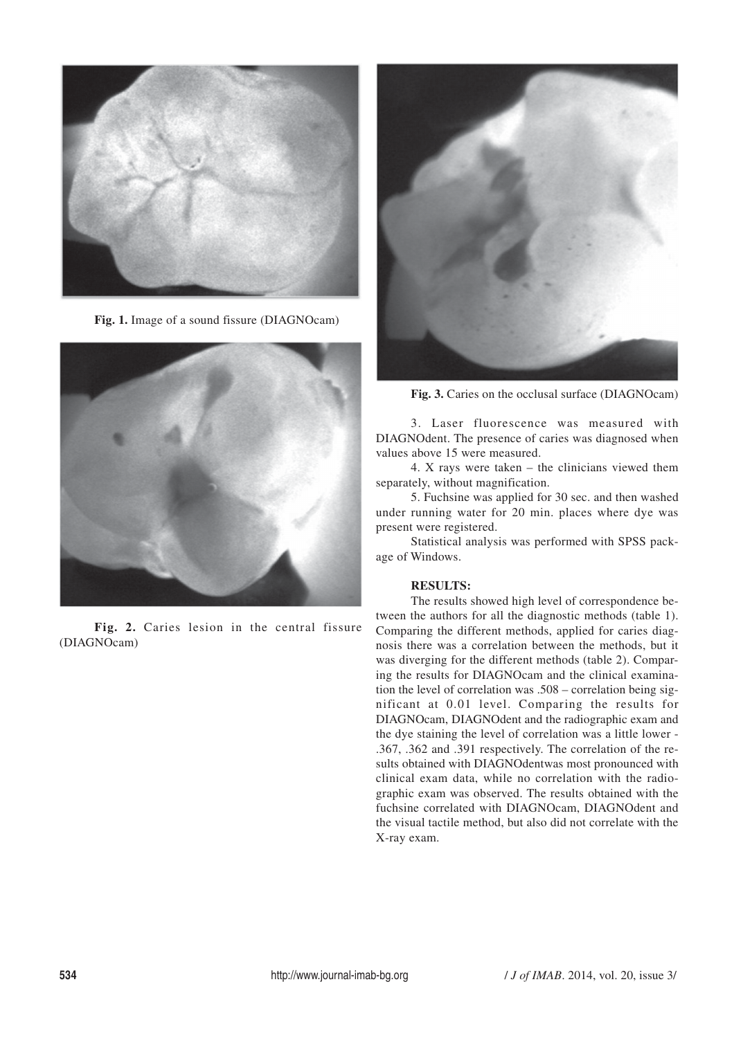

**Fig. 1.** Image of a sound fissure (DIAGNOcam)



**Fig. 2.** Caries lesion in the central fissure (DIAGNOcam)



**Fig. 3.** Caries on the occlusal surface (DIAGNOcam)

3. Laser fluorescence was measured with DIAGNOdent. The presence of caries was diagnosed when values above 15 were measured.

4. X rays were taken – the clinicians viewed them separately, without magnification.

5. Fuchsine was applied for 30 sec. and then washed under running water for 20 min. places where dye was present were registered.

Statistical analysis was performed with SPSS package of Windows.

## **RESULTS:**

The results showed high level of correspondence between the authors for all the diagnostic methods (table 1). Comparing the different methods, applied for caries diagnosis there was a correlation between the methods, but it was diverging for the different methods (table 2). Comparing the results for DIAGNOcam and the clinical examination the level of correlation was .508 – correlation being significant at 0.01 level. Comparing the results for DIAGNOcam, DIAGNOdent and the radiographic exam and the dye staining the level of correlation was a little lower - .367, .362 and .391 respectively. The correlation of the results obtained with DIAGNOdentwas most pronounced with clinical exam data, while no correlation with the radiographic exam was observed. The results obtained with the fuchsine correlated with DIAGNOcam, DIAGNOdent and the visual tactile method, but also did not correlate with the X-ray exam.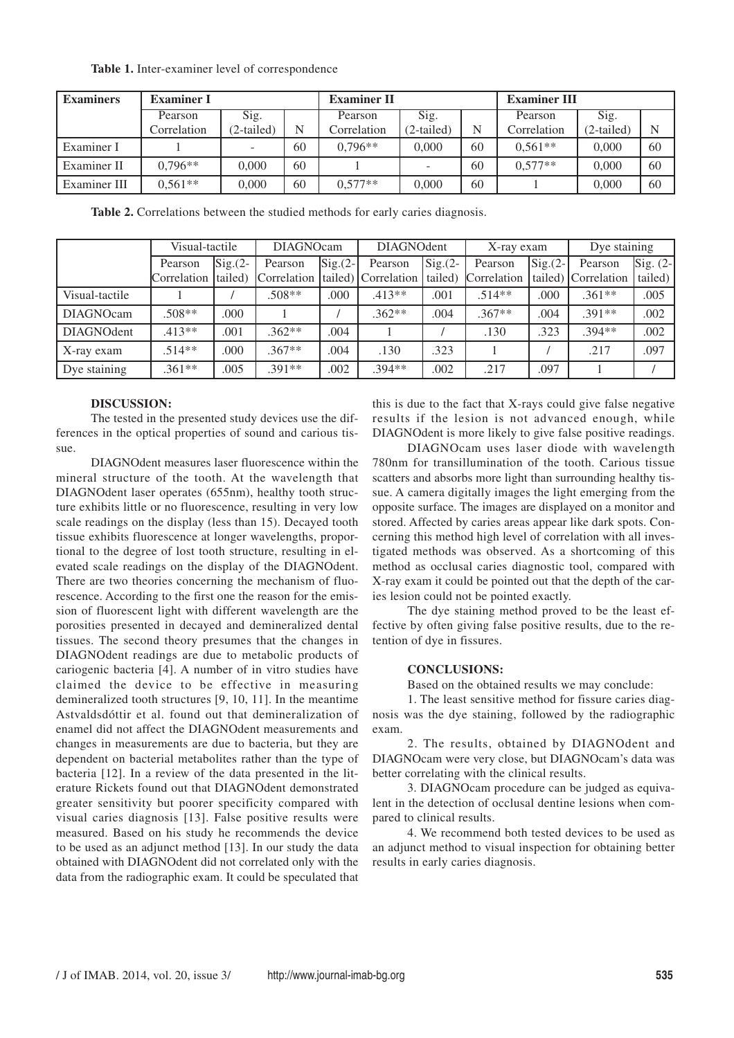|  |  |  |  |  | Table 1. Inter-examiner level of correspondence |
|--|--|--|--|--|-------------------------------------------------|
|--|--|--|--|--|-------------------------------------------------|

| <b>Examiners</b> | <b>Examiner I</b> |            | <b>Examiner II</b> |             | <b>Examiner III</b>      |    |             |            |    |
|------------------|-------------------|------------|--------------------|-------------|--------------------------|----|-------------|------------|----|
|                  | Pearson           | Sig.       |                    | Pearson     | $\overline{\text{Sig.}}$ |    | Pearson     | Sig.       |    |
|                  | Correlation       | (2-tailed) | N                  | Correlation | (2-tailed)               | N  | Correlation | (2-tailed) | N  |
| Examiner I       |                   |            | 60                 | $0.796**$   | 0.000                    | 60 | $0.561**$   | 0.000      | 60 |
| Examiner II      | $0.796**$         | 0.000      | 60                 |             |                          | 60 | $0.577**$   | 0.000      | 60 |
| Examiner III     | $0.561**$         | 0.000      | 60                 | $0.577**$   | 0.000                    | 60 |             | 0.000      | 60 |

**Table 2.** Correlations between the studied methods for early caries diagnosis.

|                   | Visual-tactile              |                   | <b>DIAGNOcam</b>                 |                   | <b>DIAGNOdent</b> |                   | X-ray exam          |                                | Dye staining        |                                  |
|-------------------|-----------------------------|-------------------|----------------------------------|-------------------|-------------------|-------------------|---------------------|--------------------------------|---------------------|----------------------------------|
|                   | Pearson                     | $\text{Sig.}(2-)$ | Pearson                          | $\text{Sig.}(2-)$ | Pearson           | $\text{Sig.}(2-)$ | Pearson             | $\left  \text{Sig.}(2-\right $ | Pearson             | $\left  \text{Sig.} \right $ (2- |
|                   | Correlation <i>(tailed)</i> |                   | Correlation [tailed] Correlation |                   |                   |                   | tailed) Correlation |                                | tailed) Correlation | tailed)                          |
| Visual-tactile    |                             |                   | $.508**$                         | .000              | $.413**$          | .001              | $.514**$            | .000                           | $.361**$            | .005                             |
| <b>DIAGNOcam</b>  | $.508**$                    | .000              |                                  |                   | $.362**$          | .004              | $.367**$            | .004                           | $.391**$            | .002                             |
| <b>DIAGNOdent</b> | $.413**$                    | .001              | $.362**$                         | .004              |                   |                   | .130                | .323                           | $.394**$            | .002                             |
| X-ray exam        | $.514**$                    | .000              | $.367**$                         | .004              | .130              | .323              |                     |                                | .217                | .097                             |
| Dye staining      | $.361**$                    | .005              | $391**$                          | .002              | .394**            | .002              | .217                | .097                           |                     |                                  |

#### **DISCUSSION:**

The tested in the presented study devices use the differences in the optical properties of sound and carious tissue.

DIAGNOdent measures laser fluorescence within the mineral structure of the tooth. At the wavelength that DIAGNOdent laser operates (655nm), healthy tooth structure exhibits little or no fluorescence, resulting in very low scale readings on the display (less than 15). Decayed tooth tissue exhibits fluorescence at longer wavelengths, proportional to the degree of lost tooth structure, resulting in elevated scale readings on the display of the DIAGNOdent. There are two theories concerning the mechanism of fluorescence. According to the first one the reason for the emission of fluorescent light with different wavelength are the porosities presented in decayed and demineralized dental tissues. The second theory presumes that the changes in DIAGNOdent readings are due to metabolic products of cariogenic bacteria [4]. A number of in vitro studies have claimed the device to be effective in measuring demineralized tooth structures [9, 10, 11]. In the meantime Astvaldsdóttir et al. found out that demineralization of enamel did not affect the DIAGNOdent measurements and changes in measurements are due to bacteria, but they are dependent on bacterial metabolites rather than the type of bacteria [12]. In a review of the data presented in the literature Rickets found out that DIAGNOdent demonstrated greater sensitivity but poorer specificity compared with visual caries diagnosis [13]. False positive results were measured. Based on his study he recommends the device to be used as an adjunct method [13]. In our study the data obtained with DIAGNOdent did not correlated only with the data from the radiographic exam. It could be speculated that this is due to the fact that X-rays could give false negative results if the lesion is not advanced enough, while DIAGNOdent is more likely to give false positive readings.

DIAGNOcam uses laser diode with wavelength 780nm for transillumination of the tooth. Carious tissue scatters and absorbs more light than surrounding healthy tissue. A camera digitally images the light emerging from the opposite surface. The images are displayed on a monitor and stored. Affected by caries areas appear like dark spots. Concerning this method high level of correlation with all investigated methods was observed. As a shortcoming of this method as occlusal caries diagnostic tool, compared with X-ray exam it could be pointed out that the depth of the caries lesion could not be pointed exactly.

The dye staining method proved to be the least effective by often giving false positive results, due to the retention of dye in fissures.

## **CONCLUSIONS:**

Based on the obtained results we may conclude:

1. The least sensitive method for fissure caries diagnosis was the dye staining, followed by the radiographic exam.

2. The results, obtained by DIAGNOdent and DIAGNOcam were very close, but DIAGNOcam's data was better correlating with the clinical results.

3. DIAGNOcam procedure can be judged as equivalent in the detection of occlusal dentine lesions when compared to clinical results.

4. We recommend both tested devices to be used as an adjunct method to visual inspection for obtaining better results in early caries diagnosis.